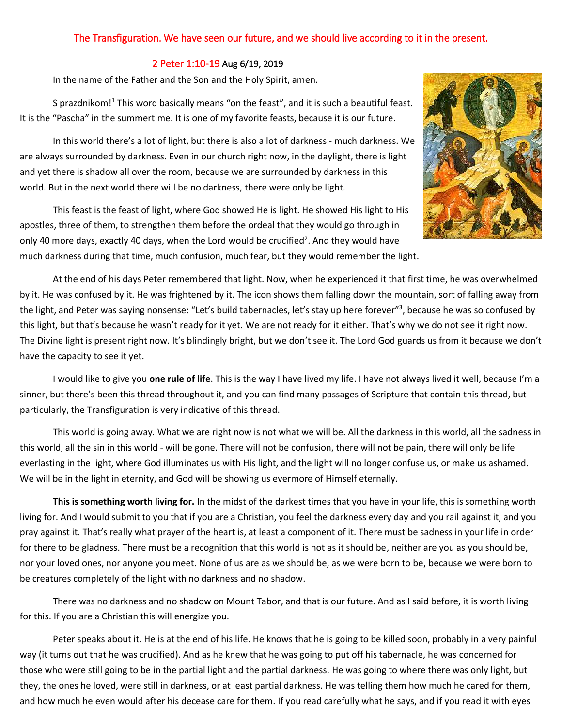## The Transfiguration. We have seen our future, and we should live according to it in the present.

## 2 Peter 1:10-19 Aug 6/19, 2019

In the name of the Father and the Son and the Holy Spirit, amen.

S prazdnikom!<sup>1</sup> This word basically means "on the feast", and it is such a beautiful feast. It is the "Pascha" in the summertime. It is one of my favorite feasts, because it is our future.

In this world there's a lot of light, but there is also a lot of darkness - much darkness. We are always surrounded by darkness. Even in our church right now, in the daylight, there is light and yet there is shadow all over the room, because we are surrounded by darkness in this world. But in the next world there will be no darkness, there were only be light.



This feast is the feast of light, where God showed He is light. He showed His light to His apostles, three of them, to strengthen them before the ordeal that they would go through in only 40 more days, exactly 40 days, when the Lord would be crucified<sup>2</sup>. And they would have much darkness during that time, much confusion, much fear, but they would remember the light.

At the end of his days Peter remembered that light. Now, when he experienced it that first time, he was overwhelmed by it. He was confused by it. He was frightened by it. The icon shows them falling down the mountain, sort of falling away from the light, and Peter was saying nonsense: "Let's build tabernacles, let's stay up here forever"<sup>3</sup>, because he was so confused by this light, but that's because he wasn't ready for it yet. We are not ready for it either. That's why we do not see it right now. The Divine light is present right now. It's blindingly bright, but we don't see it. The Lord God guards us from it because we don't have the capacity to see it yet.

I would like to give you **one rule of life**. This is the way I have lived my life. I have not always lived it well, because I'm a sinner, but there's been this thread throughout it, and you can find many passages of Scripture that contain this thread, but particularly, the Transfiguration is very indicative of this thread.

This world is going away. What we are right now is not what we will be. All the darkness in this world, all the sadness in this world, all the sin in this world - will be gone. There will not be confusion, there will not be pain, there will only be life everlasting in the light, where God illuminates us with His light, and the light will no longer confuse us, or make us ashamed. We will be in the light in eternity, and God will be showing us evermore of Himself eternally.

**This is something worth living for.** In the midst of the darkest times that you have in your life, this is something worth living for. And I would submit to you that if you are a Christian, you feel the darkness every day and you rail against it, and you pray against it. That's really what prayer of the heart is, at least a component of it. There must be sadness in your life in order for there to be gladness. There must be a recognition that this world is not as it should be, neither are you as you should be, nor your loved ones, nor anyone you meet. None of us are as we should be, as we were born to be, because we were born to be creatures completely of the light with no darkness and no shadow.

There was no darkness and no shadow on Mount Tabor, and that is our future. And as I said before, it is worth living for this. If you are a Christian this will energize you.

Peter speaks about it. He is at the end of his life. He knows that he is going to be killed soon, probably in a very painful way (it turns out that he was crucified). And as he knew that he was going to put off his tabernacle, he was concerned for those who were still going to be in the partial light and the partial darkness. He was going to where there was only light, but they, the ones he loved, were still in darkness, or at least partial darkness. He was telling them how much he cared for them, and how much he even would after his decease care for them. If you read carefully what he says, and if you read it with eyes